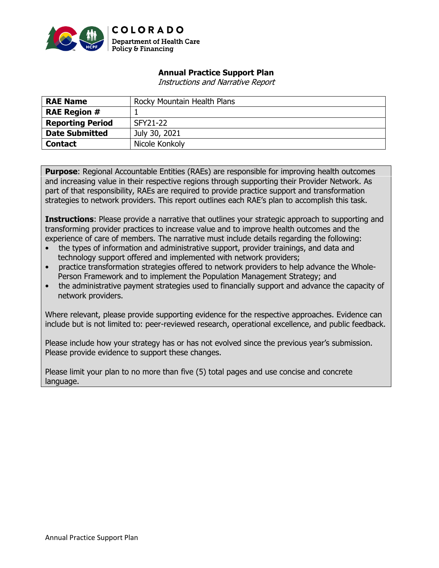

### **Annual Practice Support Plan**

Instructions and Narrative Report

| <b>RAE Name</b>         | Rocky Mountain Health Plans |
|-------------------------|-----------------------------|
| <b>RAE Region #</b>     |                             |
| <b>Reporting Period</b> | SFY21-22                    |
| <b>Date Submitted</b>   | July 30, 2021               |
| <b>Contact</b>          | Nicole Konkoly              |

**Purpose:** Regional Accountable Entities (RAEs) are responsible for improving health outcomes and increasing value in their respective regions through supporting their Provider Network. As part of that responsibility, RAEs are required to provide practice support and transformation strategies to network providers. This report outlines each RAE's plan to accomplish this task.

**Instructions**: Please provide a narrative that outlines your strategic approach to supporting and transforming provider practices to increase value and to improve health outcomes and the experience of care of members. The narrative must include details regarding the following:

- the types of information and administrative support, provider trainings, and data and technology support offered and implemented with network providers;
- practice transformation strategies offered to network providers to help advance the Whole-Person Framework and to implement the Population Management Strategy; and
- the administrative payment strategies used to financially support and advance the capacity of network providers.

Where relevant, please provide supporting evidence for the respective approaches. Evidence can include but is not limited to: peer-reviewed research, operational excellence, and public feedback.

Please include how your strategy has or has not evolved since the previous year's submission. Please provide evidence to support these changes.

Please limit your plan to no more than five (5) total pages and use concise and concrete language.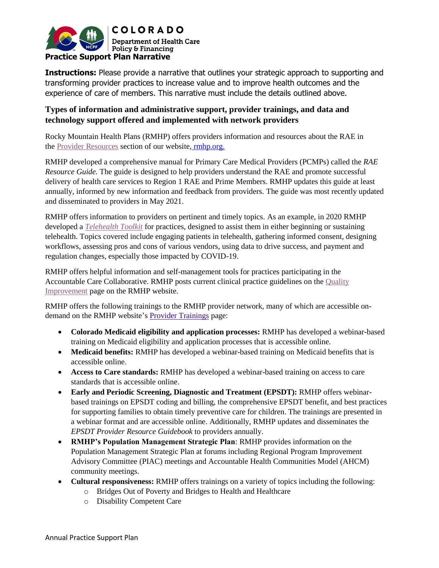

**Instructions:** Please provide a narrative that outlines your strategic approach to supporting and transforming provider practices to increase value and to improve health outcomes and the experience of care of members. This narrative must include the details outlined above.

### **Types of information and administrative support, provider trainings, and data and technology support offered and implemented with network providers**

Rocky Mountain Health Plans (RMHP) offers providers information and resources about the RAE in the [Provider Resources](https://www.rmhp.org/i-am-a-provider/provider-resources) section of our website, [rmhp.org.](https://www.rmhp.org/)

RMHP developed a comprehensive manual for Primary Care Medical Providers (PCMPs) called the *RAE Resource Guide.* The guide is designed to help providers understand the RAE and promote successful delivery of health care services to Region 1 RAE and Prime Members. RMHP updates this guide at least annually, informed by new information and feedback from providers. The guide was most recently updated and disseminated to providers in May 2021.

RMHP offers information to providers on pertinent and timely topics. As an example, in 2020 RMHP developed a *[Telehealth Toolkit](https://files.constantcontact.com/761dcc9d501/1087fb1f-fcb4-4472-bbc0-df9042d16e19.pdf)* for practices, designed to assist them in either beginning or sustaining telehealth. Topics covered include engaging patients in telehealth, gathering informed consent, designing workflows, assessing pros and cons of various vendors, using data to drive success, and payment and regulation changes, especially those impacted by COVID-19.

RMHP offers helpful information and self-management tools for practices participating in the Accountable Care Collaborative. RMHP posts current clinical practice guidelines on the [Quality](https://www.rmhp.org/learning-center/helpful-resources/quality-improvement)  [Improvement](https://www.rmhp.org/learning-center/helpful-resources/quality-improvement) page on the RMHP website.

RMHP offers the following trainings to the RMHP provider network, many of which are accessible ondemand on the RMHP website'[s Provider Trainings](https://www.rmhp.org/i-am-a-provider/provider-resources/provider-trainings) page:

- **Colorado Medicaid eligibility and application processes:** RMHP has developed a webinar-based training on Medicaid eligibility and application processes that is accessible online.
- **Medicaid benefits:** RMHP has developed a webinar-based training on Medicaid benefits that is accessible online.
- **Access to Care standards:** RMHP has developed a webinar-based training on access to care standards that is accessible online.
- **Early and Periodic Screening, Diagnostic and Treatment (EPSDT):** RMHP offers webinarbased trainings on EPSDT coding and billing, the comprehensive EPSDT benefit, and best practices for supporting families to obtain timely preventive care for children. The trainings are presented in a webinar format and are accessible online. Additionally, RMHP updates and disseminates the *EPSDT Provider Resource Guidebook* to providers annually.
- **RMHP's Population Management Strategic Plan**: RMHP provides information on the Population Management Strategic Plan at forums including Regional Program Improvement Advisory Committee (PIAC) meetings and Accountable Health Communities Model (AHCM) community meetings.
- **Cultural responsiveness:** RMHP offers trainings on a variety of topics including the following:
	- o Bridges Out of Poverty and Bridges to Health and Healthcare
	- o Disability Competent Care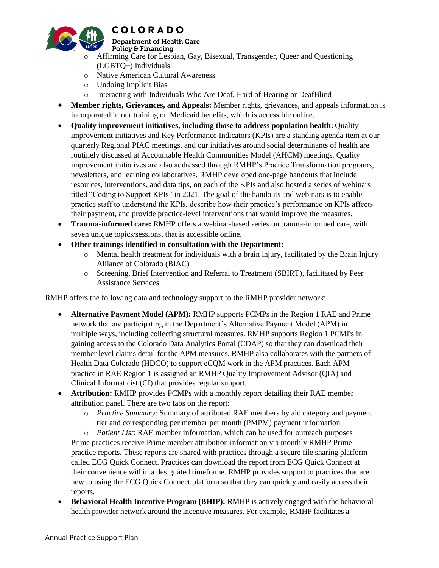

#### **Department of Health Care** Policy & Financing

- o Affirming Care for Lesbian, Gay, Bisexual, Transgender, Queer and Questioning (LGBTQ+) Individuals
- o Native American Cultural Awareness
- o Undoing Implicit Bias
- o Interacting with Individuals Who Are Deaf, Hard of Hearing or DeafBlind
- **Member rights, Grievances, and Appeals:** Member rights, grievances, and appeals information is incorporated in our training on Medicaid benefits, which is accessible online.
- **Quality improvement initiatives, including those to address population health:** Quality improvement initiatives and Key Performance Indicators (KPIs) are a standing agenda item at our quarterly Regional PIAC meetings, and our initiatives around social determinants of health are routinely discussed at Accountable Health Communities Model (AHCM) meetings. Quality improvement initiatives are also addressed through RMHP's Practice Transformation programs, newsletters, and learning collaboratives. RMHP developed one-page handouts that include resources, interventions, and data tips, on each of the KPIs and also hosted a series of webinars titled "Coding to Support KPIs" in 2021. The goal of the handouts and webinars is to enable practice staff to understand the KPIs, describe how their practice's performance on KPIs affects their payment, and provide practice-level interventions that would improve the measures.
- **Trauma-informed care:** RMHP offers a webinar-based series on trauma-informed care, with seven unique topics/sessions, that is accessible online.
- **Other trainings identified in consultation with the Department:**
	- $\circ$  Mental health treatment for individuals with a brain injury, facilitated by the Brain Injury Alliance of Colorado (BIAC)
	- o Screening, Brief Intervention and Referral to Treatment (SBIRT), facilitated by Peer Assistance Services

RMHP offers the following data and technology support to the RMHP provider network:

- **Alternative Payment Model (APM):** RMHP supports PCMPs in the Region 1 RAE and Prime network that are participating in the Department's Alternative Payment Model (APM) in multiple ways, including collecting structural measures. RMHP supports Region 1 PCMPs in gaining access to the Colorado Data Analytics Portal (CDAP) so that they can download their member level claims detail for the APM measures. RMHP also collaborates with the partners of Health Data Colorado (HDCO) to support eCQM work in the APM practices. Each APM practice in RAE Region 1 is assigned an RMHP Quality Improvement Advisor (QIA) and Clinical Informaticist (CI) that provides regular support.
- **Attribution:** RMHP provides PCMPs with a monthly report detailing their RAE member attribution panel. There are two tabs on the report:
	- o *Practice Summary*: Summary of attributed RAE members by aid category and payment tier and corresponding per member per month (PMPM) payment information

o *Patient List*: RAE member information, which can be used for outreach purposes Prime practices receive Prime member attribution information via monthly RMHP Prime practice reports. These reports are shared with practices through a secure file sharing platform called ECG Quick Connect. Practices can download the report from ECG Quick Connect at their convenience within a designated timeframe. RMHP provides support to practices that are new to using the ECG Quick Connect platform so that they can quickly and easily access their reports.

 **Behavioral Health Incentive Program (BHIP):** RMHP is actively engaged with the behavioral health provider network around the incentive measures. For example, RMHP facilitates a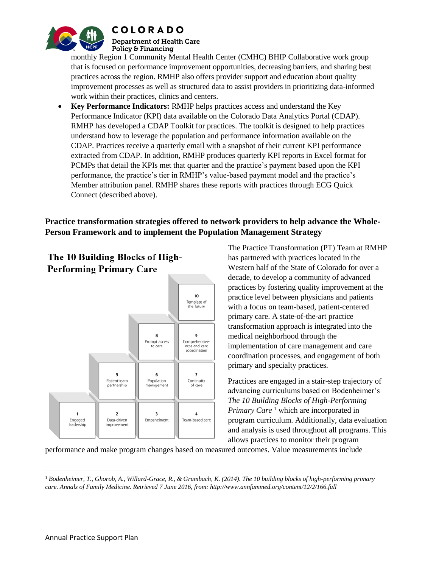

**Department of Health Care** Policy & Financing

monthly Region 1 Community Mental Health Center (CMHC) BHIP Collaborative work group that is focused on performance improvement opportunities, decreasing barriers, and sharing best practices across the region. RMHP also offers provider support and education about quality improvement processes as well as structured data to assist providers in prioritizing data-informed work within their practices, clinics and centers.

 **Key Performance Indicators:** RMHP helps practices access and understand the Key Performance Indicator (KPI) data available on the Colorado Data Analytics Portal (CDAP). RMHP has developed a CDAP Toolkit for practices. The toolkit is designed to help practices understand how to leverage the population and performance information available on the CDAP. Practices receive a quarterly email with a snapshot of their current KPI performance extracted from CDAP. In addition, RMHP produces quarterly KPI reports in Excel format for PCMPs that detail the KPIs met that quarter and the practice's payment based upon the KPI performance, the practice's tier in RMHP's value-based payment model and the practice's Member attribution panel. RMHP shares these reports with practices through ECG Quick Connect (described above).

## **Practice transformation strategies offered to network providers to help advance the Whole-Person Framework and to implement the Population Management Strategy**



The 10 Building Blocks of High-**Performing Primary Care** 

The Practice Transformation (PT) Team at RMHP has partnered with practices located in the Western half of the State of Colorado for over a decade, to develop a community of advanced practices by fostering quality improvement at the practice level between physicians and patients with a focus on team-based, patient-centered primary care. A state-of-the-art practice transformation approach is integrated into the medical neighborhood through the implementation of care management and care coordination processes, and engagement of both primary and specialty practices.

Practices are engaged in a stair-step trajectory of advancing curriculums based on Bodenheimer's *The 10 Building Blocks of High-Performing Primary Care*<sup>1</sup> which are incorporated in program curriculum. Additionally, data evaluation and analysis is used throughout all programs. This allows practices to monitor their program

performance and make program changes based on measured outcomes. Value measurements include

 $\overline{\phantom{a}}$ <sup>1</sup> *Bodenheimer, T., Ghorob, A., Willard-Grace, R., & Grumbach, K. (2014). The 10 building blocks of high-performing primary care. Annals of Family Medicine. Retrieved 7 June 2016, from: http://www.annfammed.org/content/12/2/166.full*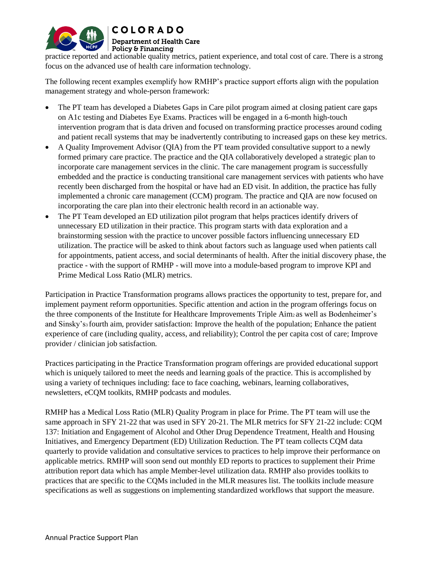

### **Department of Health Care** Policy & Financing

practice reported and actionable quality metrics, patient experience, and total cost of care. There is a strong focus on the advanced use of health care information technology.

The following recent examples exemplify how RMHP's practice support efforts align with the population management strategy and whole-person framework:

- The PT team has developed a Diabetes Gaps in Care pilot program aimed at closing patient care gaps on A1c testing and Diabetes Eye Exams. Practices will be engaged in a 6-month high-touch intervention program that is data driven and focused on transforming practice processes around coding and patient recall systems that may be inadvertently contributing to increased gaps on these key metrics.
- A Quality Improvement Advisor (QIA) from the PT team provided consultative support to a newly formed primary care practice. The practice and the QIA collaboratively developed a strategic plan to incorporate care management services in the clinic. The care management program is successfully embedded and the practice is conducting transitional care management services with patients who have recently been discharged from the hospital or have had an ED visit. In addition, the practice has fully implemented a chronic care management (CCM) program. The practice and QIA are now focused on incorporating the care plan into their electronic health record in an actionable way.
- The PT Team developed an ED utilization pilot program that helps practices identify drivers of unnecessary ED utilization in their practice. This program starts with data exploration and a brainstorming session with the practice to uncover possible factors influencing unnecessary ED utilization. The practice will be asked to think about factors such as language used when patients call for appointments, patient access, and social determinants of health. After the initial discovery phase, the practice - with the support of RMHP - will move into a module-based program to improve KPI and Prime Medical Loss Ratio (MLR) metrics.

Participation in Practice Transformation programs allows practices the opportunity to test, prepare for, and implement payment reform opportunities. Specific attention and action in the program offerings focus on the three components of the Institute for Healthcare Improvements Triple Aim2 as well as Bodenheimer's and Sinsky's3 fourth aim, provider satisfaction: Improve the health of the population; Enhance the patient experience of care (including quality, access, and reliability); Control the per capita cost of care; Improve provider / clinician job satisfaction.

Practices participating in the Practice Transformation program offerings are provided educational support which is uniquely tailored to meet the needs and learning goals of the practice. This is accomplished by using a variety of techniques including: face to face coaching, webinars, learning collaboratives, newsletters, eCQM toolkits, RMHP podcasts and modules.

RMHP has a Medical Loss Ratio (MLR) Quality Program in place for Prime. The PT team will use the same approach in SFY 21-22 that was used in SFY 20-21. The MLR metrics for SFY 21-22 include: CQM 137: Initiation and Engagement of Alcohol and Other Drug Dependence Treatment, Health and Housing Initiatives, and Emergency Department (ED) Utilization Reduction. The PT team collects CQM data quarterly to provide validation and consultative services to practices to help improve their performance on applicable metrics. RMHP will soon send out monthly ED reports to practices to supplement their Prime attribution report data which has ample Member-level utilization data. RMHP also provides toolkits to practices that are specific to the CQMs included in the MLR measures list. The toolkits include measure specifications as well as suggestions on implementing standardized workflows that support the measure.